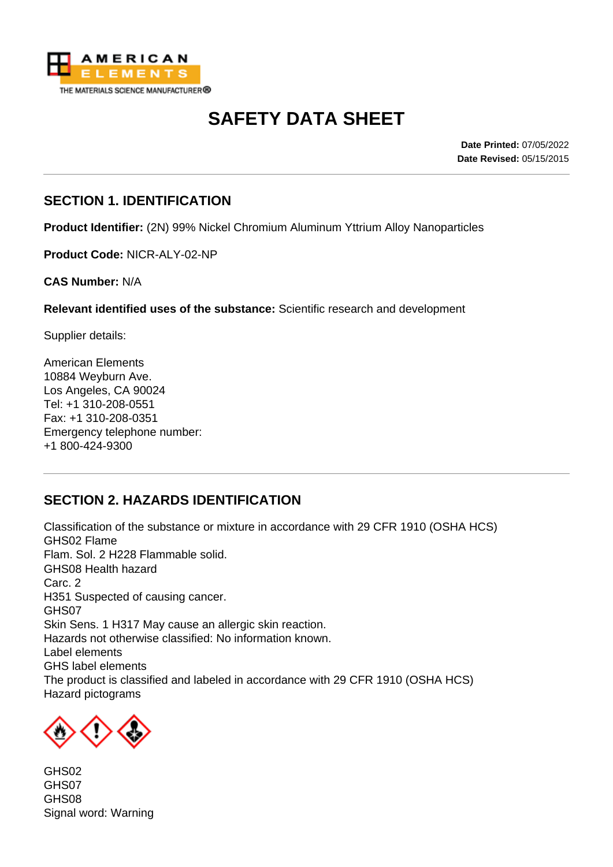

# **SAFETY DATA SHEET**

**Date Printed:** 07/05/2022 **Date Revised:** 05/15/2015

### **SECTION 1. IDENTIFICATION**

**Product Identifier:** (2N) 99% Nickel Chromium Aluminum Yttrium Alloy Nanoparticles

**Product Code:** NICR-ALY-02-NP

**CAS Number:** N/A

**Relevant identified uses of the substance:** Scientific research and development

Supplier details:

American Elements 10884 Weyburn Ave. Los Angeles, CA 90024 Tel: +1 310-208-0551 Fax: +1 310-208-0351 Emergency telephone number: +1 800-424-9300

## **SECTION 2. HAZARDS IDENTIFICATION**

Classification of the substance or mixture in accordance with 29 CFR 1910 (OSHA HCS) GHS02 Flame Flam. Sol. 2 H228 Flammable solid. GHS08 Health hazard Carc. 2 H351 Suspected of causing cancer. GHS07 Skin Sens. 1 H317 May cause an allergic skin reaction. Hazards not otherwise classified: No information known. Label elements GHS label elements The product is classified and labeled in accordance with 29 CFR 1910 (OSHA HCS) Hazard pictograms



GHS02 GHS07 GHS08 Signal word: Warning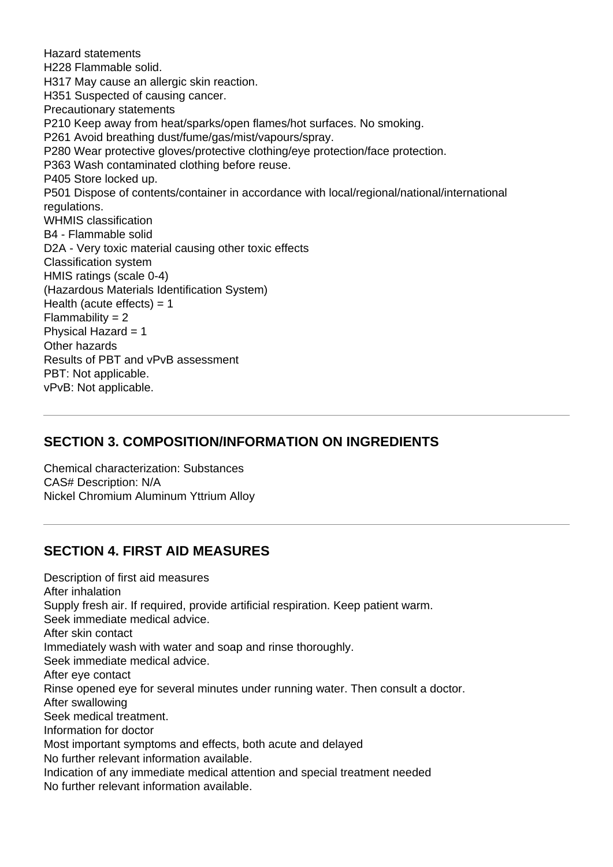Hazard statements H228 Flammable solid. H317 May cause an allergic skin reaction. H351 Suspected of causing cancer. Precautionary statements P210 Keep away from heat/sparks/open flames/hot surfaces. No smoking. P261 Avoid breathing dust/fume/gas/mist/vapours/spray. P280 Wear protective gloves/protective clothing/eye protection/face protection. P363 Wash contaminated clothing before reuse. P405 Store locked up. P501 Dispose of contents/container in accordance with local/regional/national/international regulations. WHMIS classification B4 - Flammable solid D2A - Very toxic material causing other toxic effects Classification system HMIS ratings (scale 0-4) (Hazardous Materials Identification System) Health (acute effects)  $= 1$  $Flammability = 2$ Physical Hazard = 1 Other hazards Results of PBT and vPvB assessment PBT: Not applicable. vPvB: Not applicable.

#### **SECTION 3. COMPOSITION/INFORMATION ON INGREDIENTS**

Chemical characterization: Substances CAS# Description: N/A Nickel Chromium Aluminum Yttrium Alloy

#### **SECTION 4. FIRST AID MEASURES**

Description of first aid measures After inhalation Supply fresh air. If required, provide artificial respiration. Keep patient warm. Seek immediate medical advice. After skin contact Immediately wash with water and soap and rinse thoroughly. Seek immediate medical advice. After eye contact Rinse opened eye for several minutes under running water. Then consult a doctor. After swallowing Seek medical treatment. Information for doctor Most important symptoms and effects, both acute and delayed No further relevant information available. Indication of any immediate medical attention and special treatment needed No further relevant information available.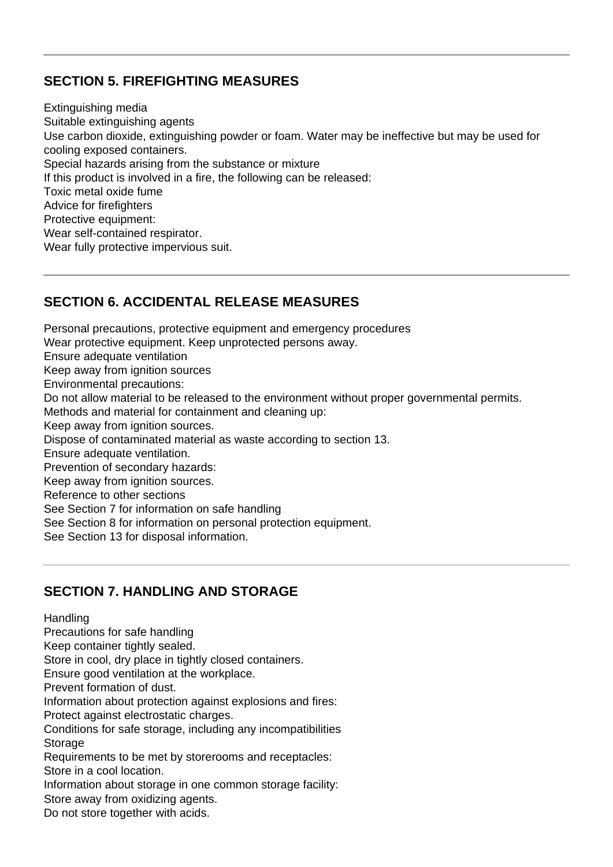## **SECTION 5. FIREFIGHTING MEASURES**

Extinguishing media Suitable extinguishing agents Use carbon dioxide, extinguishing powder or foam. Water may be ineffective but may be used for cooling exposed containers. Special hazards arising from the substance or mixture If this product is involved in a fire, the following can be released: Toxic metal oxide fume Advice for firefighters Protective equipment: Wear self-contained respirator. Wear fully protective impervious suit.

## **SECTION 6. ACCIDENTAL RELEASE MEASURES**

Personal precautions, protective equipment and emergency procedures Wear protective equipment. Keep unprotected persons away. Ensure adequate ventilation Keep away from ignition sources Environmental precautions: Do not allow material to be released to the environment without proper governmental permits. Methods and material for containment and cleaning up: Keep away from ignition sources. Dispose of contaminated material as waste according to section 13. Ensure adequate ventilation. Prevention of secondary hazards: Keep away from ignition sources. Reference to other sections See Section 7 for information on safe handling See Section 8 for information on personal protection equipment. See Section 13 for disposal information.

#### **SECTION 7. HANDLING AND STORAGE**

**Handling** Precautions for safe handling Keep container tightly sealed. Store in cool, dry place in tightly closed containers. Ensure good ventilation at the workplace. Prevent formation of dust. Information about protection against explosions and fires: Protect against electrostatic charges. Conditions for safe storage, including any incompatibilities **Storage** Requirements to be met by storerooms and receptacles: Store in a cool location. Information about storage in one common storage facility: Store away from oxidizing agents. Do not store together with acids.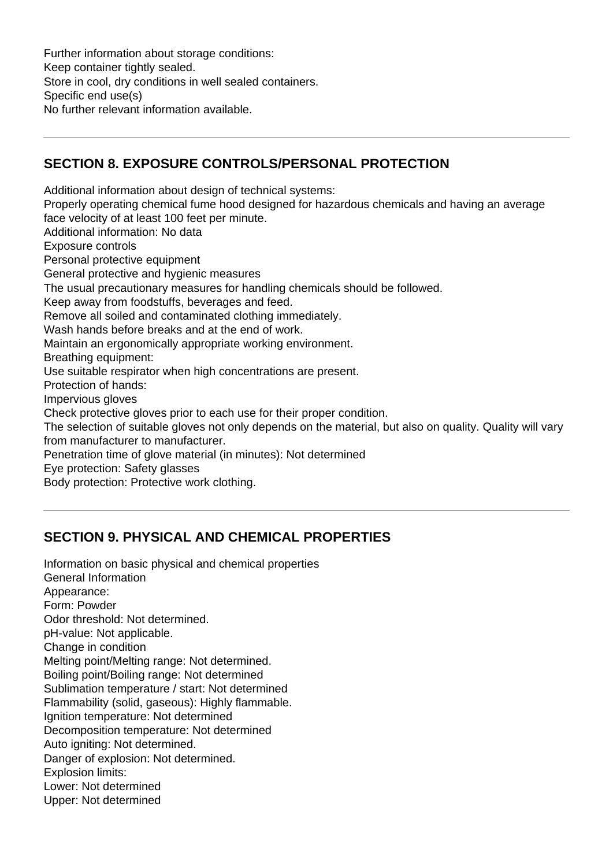Further information about storage conditions: Keep container tightly sealed. Store in cool, dry conditions in well sealed containers. Specific end use(s) No further relevant information available.

## **SECTION 8. EXPOSURE CONTROLS/PERSONAL PROTECTION**

Additional information about design of technical systems: Properly operating chemical fume hood designed for hazardous chemicals and having an average face velocity of at least 100 feet per minute. Additional information: No data Exposure controls Personal protective equipment General protective and hygienic measures The usual precautionary measures for handling chemicals should be followed. Keep away from foodstuffs, beverages and feed. Remove all soiled and contaminated clothing immediately. Wash hands before breaks and at the end of work. Maintain an ergonomically appropriate working environment. Breathing equipment: Use suitable respirator when high concentrations are present. Protection of hands: Impervious gloves Check protective gloves prior to each use for their proper condition. The selection of suitable gloves not only depends on the material, but also on quality. Quality will vary from manufacturer to manufacturer. Penetration time of glove material (in minutes): Not determined Eye protection: Safety glasses Body protection: Protective work clothing.

## **SECTION 9. PHYSICAL AND CHEMICAL PROPERTIES**

Information on basic physical and chemical properties General Information Appearance: Form: Powder Odor threshold: Not determined. pH-value: Not applicable. Change in condition Melting point/Melting range: Not determined. Boiling point/Boiling range: Not determined Sublimation temperature / start: Not determined Flammability (solid, gaseous): Highly flammable. Ignition temperature: Not determined Decomposition temperature: Not determined Auto igniting: Not determined. Danger of explosion: Not determined. Explosion limits: Lower: Not determined Upper: Not determined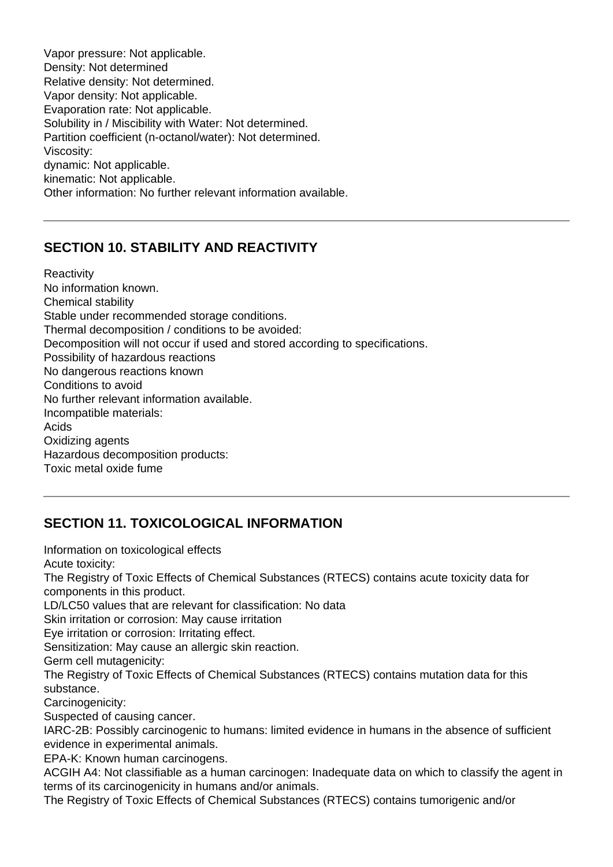Vapor pressure: Not applicable. Density: Not determined Relative density: Not determined. Vapor density: Not applicable. Evaporation rate: Not applicable. Solubility in / Miscibility with Water: Not determined. Partition coefficient (n-octanol/water): Not determined. Viscosity: dynamic: Not applicable. kinematic: Not applicable. Other information: No further relevant information available.

# **SECTION 10. STABILITY AND REACTIVITY**

**Reactivity** No information known. Chemical stability Stable under recommended storage conditions. Thermal decomposition / conditions to be avoided: Decomposition will not occur if used and stored according to specifications. Possibility of hazardous reactions No dangerous reactions known Conditions to avoid No further relevant information available. Incompatible materials: Acids Oxidizing agents Hazardous decomposition products: Toxic metal oxide fume

# **SECTION 11. TOXICOLOGICAL INFORMATION**

Information on toxicological effects Acute toxicity: The Registry of Toxic Effects of Chemical Substances (RTECS) contains acute toxicity data for components in this product. LD/LC50 values that are relevant for classification: No data Skin irritation or corrosion: May cause irritation Eye irritation or corrosion: Irritating effect. Sensitization: May cause an allergic skin reaction. Germ cell mutagenicity: The Registry of Toxic Effects of Chemical Substances (RTECS) contains mutation data for this substance. Carcinogenicity: Suspected of causing cancer. IARC-2B: Possibly carcinogenic to humans: limited evidence in humans in the absence of sufficient evidence in experimental animals. EPA-K: Known human carcinogens. ACGIH A4: Not classifiable as a human carcinogen: Inadequate data on which to classify the agent in terms of its carcinogenicity in humans and/or animals.

The Registry of Toxic Effects of Chemical Substances (RTECS) contains tumorigenic and/or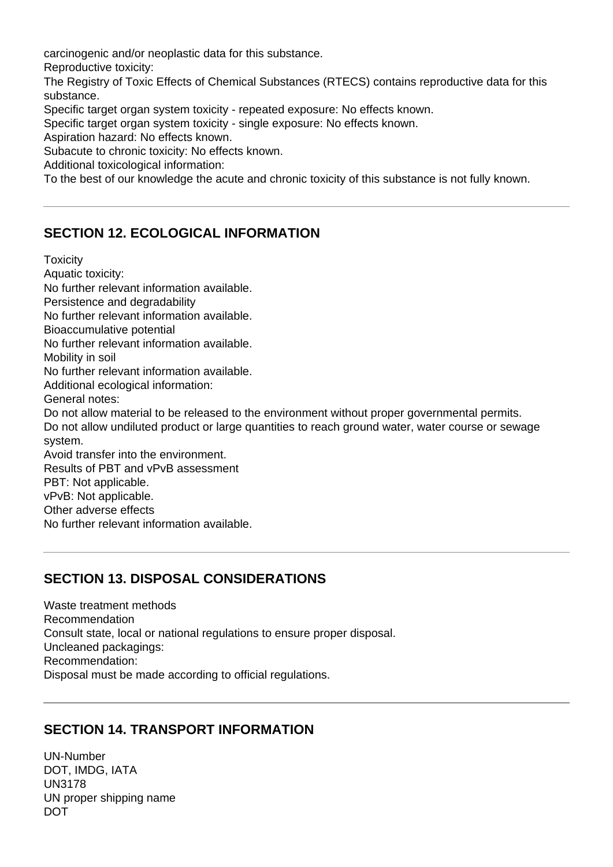carcinogenic and/or neoplastic data for this substance.

Reproductive toxicity:

The Registry of Toxic Effects of Chemical Substances (RTECS) contains reproductive data for this substance.

Specific target organ system toxicity - repeated exposure: No effects known.

Specific target organ system toxicity - single exposure: No effects known.

Aspiration hazard: No effects known.

Subacute to chronic toxicity: No effects known.

Additional toxicological information:

To the best of our knowledge the acute and chronic toxicity of this substance is not fully known.

## **SECTION 12. ECOLOGICAL INFORMATION**

**Toxicity** Aquatic toxicity: No further relevant information available. Persistence and degradability No further relevant information available. Bioaccumulative potential No further relevant information available. Mobility in soil No further relevant information available. Additional ecological information: General notes: Do not allow material to be released to the environment without proper governmental permits. Do not allow undiluted product or large quantities to reach ground water, water course or sewage system. Avoid transfer into the environment. Results of PBT and vPvB assessment PBT: Not applicable. vPvB: Not applicable. Other adverse effects No further relevant information available.

#### **SECTION 13. DISPOSAL CONSIDERATIONS**

Waste treatment methods Recommendation Consult state, local or national regulations to ensure proper disposal. Uncleaned packagings: Recommendation: Disposal must be made according to official regulations.

#### **SECTION 14. TRANSPORT INFORMATION**

UN-Number DOT, IMDG, IATA UN3178 UN proper shipping name DOT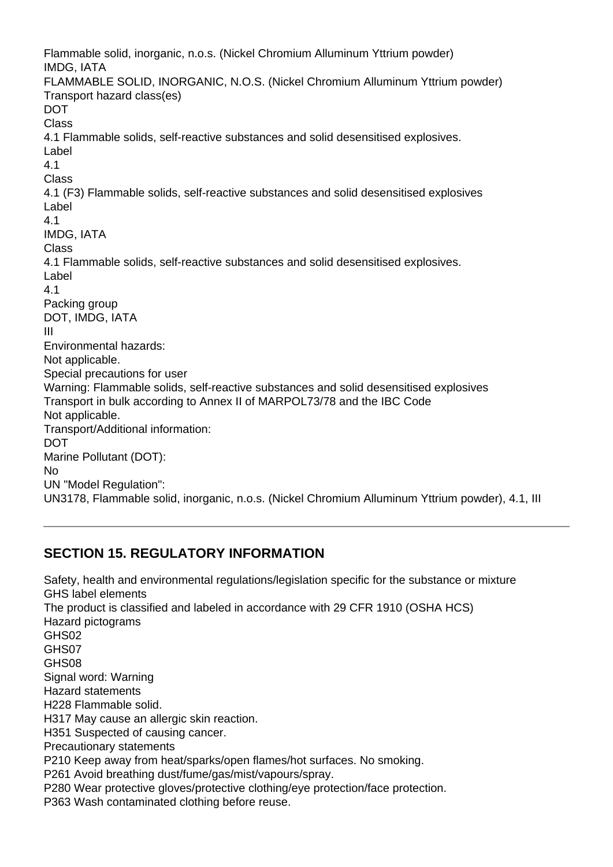Flammable solid, inorganic, n.o.s. (Nickel Chromium Alluminum Yttrium powder) IMDG, IATA FLAMMABLE SOLID, INORGANIC, N.O.S. (Nickel Chromium Alluminum Yttrium powder) Transport hazard class(es) **DOT** Class 4.1 Flammable solids, self-reactive substances and solid desensitised explosives. Label 4.1 Class 4.1 (F3) Flammable solids, self-reactive substances and solid desensitised explosives Label 4.1 IMDG, IATA Class 4.1 Flammable solids, self-reactive substances and solid desensitised explosives. Label 4.1 Packing group DOT, IMDG, IATA III Environmental hazards: Not applicable. Special precautions for user Warning: Flammable solids, self-reactive substances and solid desensitised explosives Transport in bulk according to Annex II of MARPOL73/78 and the IBC Code Not applicable. Transport/Additional information: DOT Marine Pollutant (DOT): No UN "Model Regulation": UN3178, Flammable solid, inorganic, n.o.s. (Nickel Chromium Alluminum Yttrium powder), 4.1, III

#### **SECTION 15. REGULATORY INFORMATION**

Safety, health and environmental regulations/legislation specific for the substance or mixture GHS label elements The product is classified and labeled in accordance with 29 CFR 1910 (OSHA HCS) Hazard pictograms GHS02 GHS07 GHS08 Signal word: Warning Hazard statements H228 Flammable solid. H317 May cause an allergic skin reaction. H351 Suspected of causing cancer. Precautionary statements P210 Keep away from heat/sparks/open flames/hot surfaces. No smoking. P261 Avoid breathing dust/fume/gas/mist/vapours/spray. P280 Wear protective gloves/protective clothing/eye protection/face protection. P363 Wash contaminated clothing before reuse.